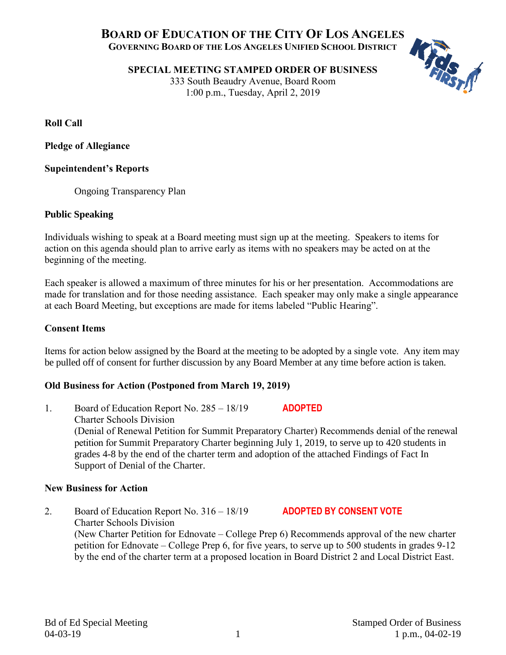# KFRIST **BOARD OF EDUCATION OF THE CITY OF LOS ANGELES GOVERNING BOARD OF THE LOS ANGELES UNIFIED SCHOOL DISTRICT**

**SPECIAL MEETING STAMPED ORDER OF BUSINESS**

333 South Beaudry Avenue, Board Room 1:00 p.m., Tuesday, April 2, 2019

**Roll Call**

**Pledge of Allegiance**

## **Supeintendent's Reports**

Ongoing Transparency Plan

# **Public Speaking**

Individuals wishing to speak at a Board meeting must sign up at the meeting. Speakers to items for action on this agenda should plan to arrive early as items with no speakers may be acted on at the beginning of the meeting.

Each speaker is allowed a maximum of three minutes for his or her presentation. Accommodations are made for translation and for those needing assistance. Each speaker may only make a single appearance at each Board Meeting, but exceptions are made for items labeled "Public Hearing".

## **Consent Items**

Items for action below assigned by the Board at the meeting to be adopted by a single vote. Any item may be pulled off of consent for further discussion by any Board Member at any time before action is taken.

# **Old Business for Action (Postponed from March 19, 2019)**

1. Board of Education Report No. 285 – 18/19 **ADOPTED** Charter Schools Division (Denial of Renewal Petition for Summit Preparatory Charter) Recommends denial of the renewal petition for Summit Preparatory Charter beginning July 1, 2019, to serve up to 420 students in grades 4-8 by the end of the charter term and adoption of the attached Findings of Fact In Support of Denial of the Charter.

#### **New Business for Action**

2. Board of Education Report No. 316 – 18/19 **ADOPTED BY CONSENT VOTE** Charter Schools Division (New Charter Petition for Ednovate – College Prep 6) Recommends approval of the new charter petition for Ednovate – College Prep 6, for five years, to serve up to 500 students in grades 9-12 by the end of the charter term at a proposed location in Board District 2 and Local District East.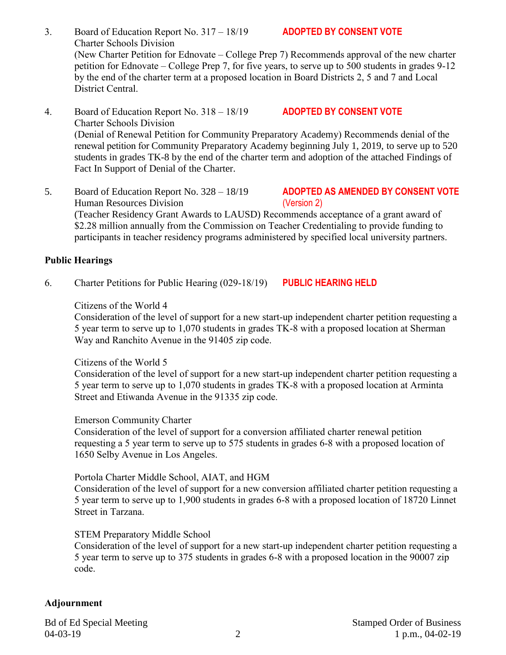- 3. Board of Education Report No. 317 18/19 **ADOPTED BY CONSENT VOTE** Charter Schools Division (New Charter Petition for Ednovate – College Prep 7) Recommends approval of the new charter petition for Ednovate – College Prep 7, for five years, to serve up to 500 students in grades 9-12 by the end of the charter term at a proposed location in Board Districts 2, 5 and 7 and Local District Central.
- 4. Board of Education Report No. 318 18/19 **ADOPTED BY CONSENT VOTE** Charter Schools Division (Denial of Renewal Petition for Community Preparatory Academy) Recommends denial of the renewal petition for Community Preparatory Academy beginning July 1, 2019, to serve up to 520 students in grades TK-8 by the end of the charter term and adoption of the attached Findings of Fact In Support of Denial of the Charter.
- 5. Board of Education Report No. 328 18/19 **ADOPTED AS AMENDED BY CONSENT VOTE** Human Resources Division (Version 2) (Teacher Residency Grant Awards to LAUSD) Recommends acceptance of a grant award of \$2.28 million annually from the Commission on Teacher Credentialing to provide funding to participants in teacher residency programs administered by specified local university partners.

# **Public Hearings**

6. Charter Petitions for Public Hearing (029-18/19) **PUBLIC HEARING HELD**

## Citizens of the World 4

Consideration of the level of support for a new start-up independent charter petition requesting a 5 year term to serve up to 1,070 students in grades TK-8 with a proposed location at Sherman Way and Ranchito Avenue in the 91405 zip code.

#### Citizens of the World 5

Consideration of the level of support for a new start-up independent charter petition requesting a 5 year term to serve up to 1,070 students in grades TK-8 with a proposed location at Arminta Street and Etiwanda Avenue in the 91335 zip code.

#### Emerson Community Charter

Consideration of the level of support for a conversion affiliated charter renewal petition requesting a 5 year term to serve up to 575 students in grades 6-8 with a proposed location of 1650 Selby Avenue in Los Angeles.

# Portola Charter Middle School, AIAT, and HGM

Consideration of the level of support for a new conversion affiliated charter petition requesting a 5 year term to serve up to 1,900 students in grades 6-8 with a proposed location of 18720 Linnet Street in Tarzana.

# STEM Preparatory Middle School

Consideration of the level of support for a new start-up independent charter petition requesting a 5 year term to serve up to 375 students in grades 6-8 with a proposed location in the 90007 zip code.

# **Adjournment**